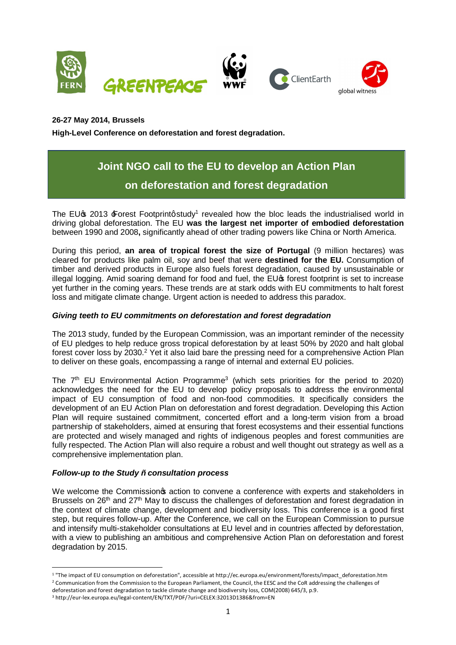

**26-27 May 2014, Brussels**

**High-Level Conference on deforestation and forest degradation.**

# **Joint NGO call to the EU to develop an Action Plan on deforestation and forest degradation**

The EU $\,$  2013  $\,$  Forest Footprintg study<sup>1</sup> revealed how the bloc leads the industrialised world in driving global deforestation. The EU **was the largest net importer of embodied deforestation** between 1990 and 2008**,** significantly ahead of other trading powers like China or North America.

During this period, **an area of tropical forest the size of Portugal** (9 million hectares) was cleared for products like palm oil, soy and beef that were **destined for the EU.** Consumption of timber and derived products in Europe also fuels forest degradation, caused by unsustainable or illegal logging. Amid soaring demand for food and fuel, the EU $\alpha$  forest footprint is set to increase yet further in the coming years. These trends are at stark odds with EU commitments to halt forest loss and mitigate climate change. Urgent action is needed to address this paradox.

## *Giving teeth to EU commitments on deforestation and forest degradation*

The 2013 study, funded by the European Commission, was an important reminder of the necessity of EU pledges to help reduce gross tropical deforestation by at least 50% by 2020 and halt global forest cover loss by 2030.<sup>2</sup> Yet it also laid bare the pressing need for a comprehensive Action Plan to deliver on these goals, encompassing a range of internal and external EU policies.

The  $7<sup>th</sup>$  EU Environmental Action Programme<sup>3</sup> (which sets priorities for the period to 2020) acknowledges the need for the EU to develop policy proposals to address the environmental impact of EU consumption of food and non-food commodities. It specifically considers the development of an EU Action Plan on deforestation and forest degradation. Developing this Action Plan will require sustained commitment, concerted effort and a long-term vision from a broad partnership of stakeholders, aimed at ensuring that forest ecosystems and their essential functions are protected and wisely managed and rights of indigenous peoples and forest communities are fully respected. The Action Plan will also require a robust and well thought out strategy as well as a comprehensive implementation plan.

## *Follow-up to the Study – consultation process*

We welcome the Commission to action to convene a conference with experts and stakeholders in Brussels on 26<sup>th</sup> and 27<sup>th</sup> May to discuss the challenges of deforestation and forest degradation in the context of climate change, development and biodiversity loss. This conference is a good first step, but requires follow-up. After the Conference, we call on the European Commission to pursue and intensify multi-stakeholder consultations at EU level and in countries affected by deforestation, with a view to publishing an ambitious and comprehensive Action Plan on deforestation and forest degradation by 2015.

 <sup>1</sup> "The impact of EU consumption on deforestation", accessible at http://ec.europa.eu/environment/forests/impact\_deforestation.htm

<sup>&</sup>lt;sup>2</sup> Communication from the Commission to the European Parliament, the Council, the EESC and the CoR addressing the challenges of

deforestation and forest degradation to tackle climate change and biodiversity loss, COM(2008) 645/3, p.9.

<sup>3</sup> http://eur-lex.europa.eu/legal-content/EN/TXT/PDF/?uri=CELEX:32013D1386&from=EN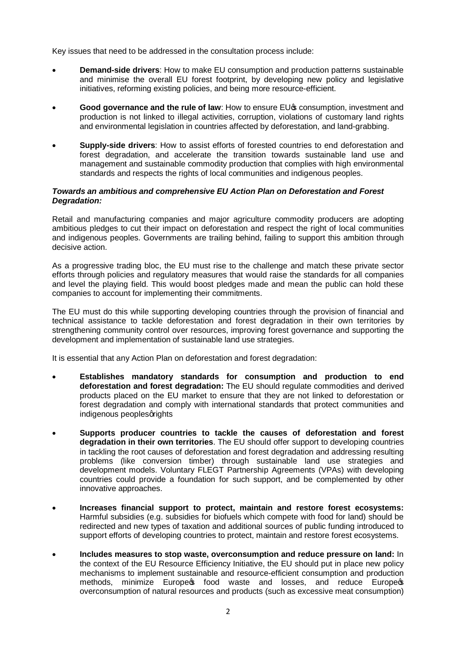Key issues that need to be addressed in the consultation process include:

- · **Demand-side drivers**: How to make EU consumption and production patterns sustainable and minimise the overall EU forest footprint, by developing new policy and legislative initiatives, reforming existing policies, and being more resource-efficient.
- **Good governance and the rule of law:** How to ensure EU<sub>®</sub> consumption, investment and production is not linked to illegal activities, corruption, violations of customary land rights and environmental legislation in countries affected by deforestation, and land-grabbing.
- · **Supply-side drivers**: How to assist efforts of forested countries to end deforestation and forest degradation, and accelerate the transition towards sustainable land use and management and sustainable commodity production that complies with high environmental standards and respects the rights of local communities and indigenous peoples.

### *Towards an ambitious and comprehensive EU Action Plan on Deforestation and Forest Degradation:*

Retail and manufacturing companies and major agriculture commodity producers are adopting ambitious pledges to cut their impact on deforestation and respect the right of local communities and indigenous peoples. Governments are trailing behind, failing to support this ambition through decisive action.

As a progressive trading bloc, the EU must rise to the challenge and match these private sector efforts through policies and regulatory measures that would raise the standards for all companies and level the playing field. This would boost pledges made and mean the public can hold these companies to account for implementing their commitments.

The EU must do this while supporting developing countries through the provision of financial and technical assistance to tackle deforestation and forest degradation in their own territories by strengthening community control over resources, improving forest governance and supporting the development and implementation of sustainable land use strategies.

It is essential that any Action Plan on deforestation and forest degradation:

- · **Establishes mandatory standards for consumption and production to end deforestation and forest degradation:** The EU should regulate commodities and derived products placed on the EU market to ensure that they are not linked to deforestation or forest degradation and comply with international standards that protect communities and indigenous peoples grights
- · **Supports producer countries to tackle the causes of deforestation and forest degradation in their own territories**. The EU should offer support to developing countries in tackling the root causes of deforestation and forest degradation and addressing resulting problems (like conversion timber) through sustainable land use strategies and development models. Voluntary FLEGT Partnership Agreements (VPAs) with developing countries could provide a foundation for such support, and be complemented by other innovative approaches.
- · **Increases financial support to protect, maintain and restore forest ecosystems:**  Harmful subsidies (e.g. subsidies for biofuels which compete with food for land) should be redirected and new types of taxation and additional sources of public funding introduced to support efforts of developing countries to protect, maintain and restore forest ecosystems.
- · **Includes measures to stop waste, overconsumption and reduce pressure on land:** In the context of the EU Resource Efficiency Initiative, the EU should put in place new policy mechanisms to implement sustainable and resource-efficient consumption and production methods, minimize Europes food waste and losses, and reduce Europes overconsumption of natural resources and products (such as excessive meat consumption)